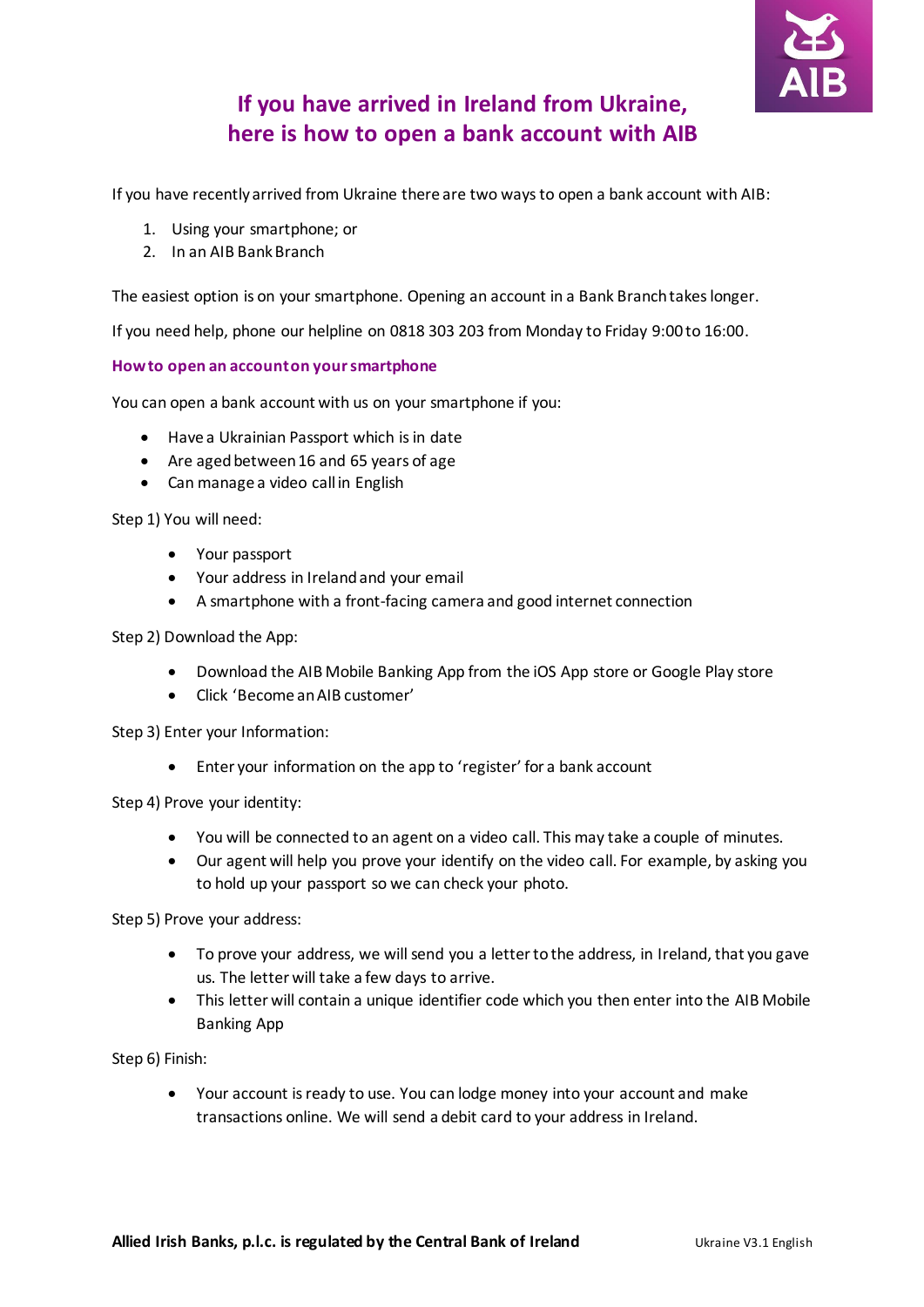

# **If you have arrived in Ireland from Ukraine, here is how to open a bank account with AIB**

If you have recently arrived from Ukraine there are two ways to open a bank account with AIB:

- 1. Using your smartphone; or
- 2. In an AIB Bank Branch

The easiest option is on your smartphone. Opening an account in a Bank Branch takes longer.

If you need help, phone our helpline on 0818 303 203 from Monday to Friday 9:00 to 16:00.

## **How to open an account on your smartphone**

You can open a bank account with us on your smartphone if you:

- Have a Ukrainian Passport which is in date
- Are aged between 16 and 65 years of age
- Can manage a video call in English

Step 1) You will need:

- Your passport
- Your address in Irelandand your email
- A smartphone with a front-facing camera and good internet connection

Step 2) Download the App:

- Download the AIB Mobile Banking App from the iOS App store or Google Play store
- Click 'Become an AIB customer'

Step 3) Enter your Information:

Enter your information on the app to 'register' for a bank account

Step 4) Prove your identity:

- You will be connected to an agent on a video call. This may take a couple of minutes.
- Our agent will help you prove your identify on the video call. For example, by asking you to hold up your passport so we can check your photo.

Step 5) Prove your address:

- To prove your address, we will send you a letter to the address, in Ireland, that you gave us. The letter will take a few days to arrive.
- This letter will contain a unique identifier code which you then enter into the AIB Mobile Banking App

Step 6) Finish:

 Your account is ready to use. You can lodge money into your account and make transactions online. We will send a debit card to your address in Ireland.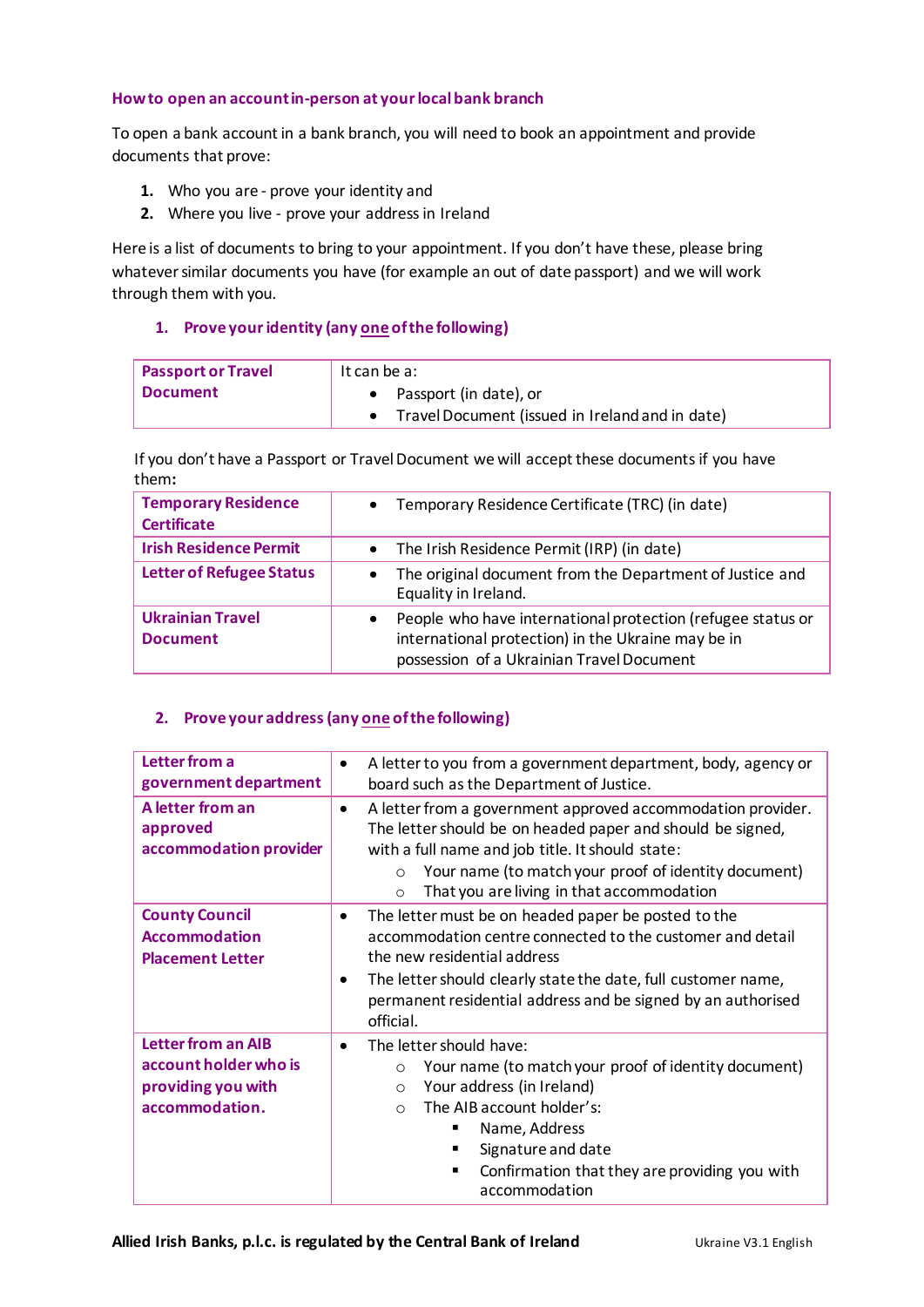## **How to open an account in-person at your local bank branch**

To open a bank account in a bank branch, you will need to book an appointment and provide documents that prove:

- **1.** Who you are prove your identity and
- **2.** Where you live prove your address in Ireland

Here is a list of documents to bring to your appointment. If you don't have these, please bring whatever similar documents you have (for example an out of date passport) and we will work through them with you.

## **1. Prove youridentity (any one of the following)**

| <b>Passport or Travel</b> | It can be a:                                    |
|---------------------------|-------------------------------------------------|
| Document                  | • Passport (in date), or                        |
|                           | Travel Document (issued in Ireland and in date) |

If you don't have a Passport or Travel Document we will accept these documents if you have them**:**

| <b>Temporary Residence</b><br><b>Certificate</b> | Temporary Residence Certificate (TRC) (in date)<br>$\bullet$                                                                                                                |
|--------------------------------------------------|-----------------------------------------------------------------------------------------------------------------------------------------------------------------------------|
| <b>Irish Residence Permit</b>                    | The Irish Residence Permit (IRP) (in date)<br>$\bullet$                                                                                                                     |
| <b>Letter of Refugee Status</b>                  | The original document from the Department of Justice and<br>Equality in Ireland.                                                                                            |
| <b>Ukrainian Travel</b><br><b>Document</b>       | People who have international protection (refugee status or<br>$\bullet$<br>international protection) in the Ukraine may be in<br>possession of a Ukrainian Travel Document |

## **2. Prove your address (any one of the following)**

| Letter from a<br>government department                                                     | A letter to you from a government department, body, agency or<br>board such as the Department of Justice.                                                                                                                                                                                                     |
|--------------------------------------------------------------------------------------------|---------------------------------------------------------------------------------------------------------------------------------------------------------------------------------------------------------------------------------------------------------------------------------------------------------------|
| A letter from an<br>approved<br>accommodation provider                                     | A letter from a government approved accommodation provider.<br>٠<br>The letter should be on headed paper and should be signed,<br>with a full name and job title. It should state:<br>Your name (to match your proof of identity document)<br>$\circ$<br>That you are living in that accommodation<br>$\circ$ |
| <b>County Council</b><br><b>Accommodation</b><br><b>Placement Letter</b>                   | The letter must be on headed paper be posted to the<br>$\bullet$<br>accommodation centre connected to the customer and detail<br>the new residential address<br>The letter should clearly state the date, full customer name,<br>permanent residential address and be signed by an authorised<br>official.    |
| <b>Letter from an AIB</b><br>account holder who is<br>providing you with<br>accommodation. | The letter should have:<br>$\bullet$<br>Your name (to match your proof of identity document)<br>$\circ$<br>Your address (in Ireland)<br>$\circ$<br>The AIB account holder's:<br>$\bigcap$<br>Name, Address<br>Signature and date<br>Confirmation that they are providing you with<br>accommodation            |